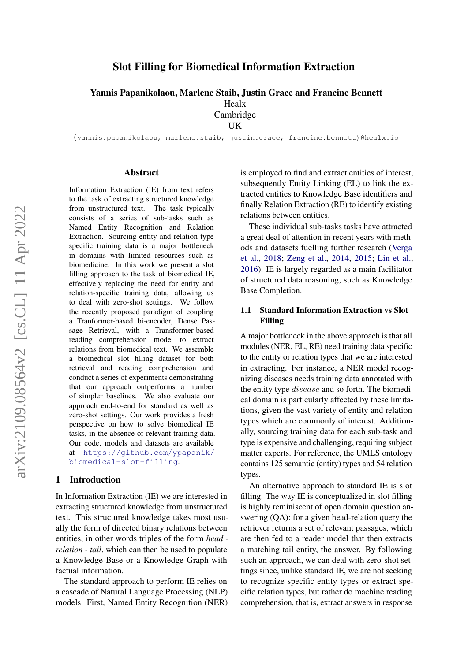# Slot Filling for Biomedical Information Extraction

Yannis Papanikolaou, Marlene Staib, Justin Grace and Francine Bennett

Healx Cambridge

UK

(yannis.papanikolaou, marlene.staib, justin.grace, francine.bennett)@healx.io

#### Abstract

Information Extraction (IE) from text refers to the task of extracting structured knowledge from unstructured text. The task typically consists of a series of sub-tasks such as Named Entity Recognition and Relation Extraction. Sourcing entity and relation type specific training data is a major bottleneck in domains with limited resources such as biomedicine. In this work we present a slot filling approach to the task of biomedical IE, effectively replacing the need for entity and relation-specific training data, allowing us to deal with zero-shot settings. We follow the recently proposed paradigm of coupling a Tranformer-based bi-encoder, Dense Passage Retrieval, with a Transformer-based reading comprehension model to extract relations from biomedical text. We assemble a biomedical slot filling dataset for both retrieval and reading comprehension and conduct a series of experiments demonstrating that our approach outperforms a number of simpler baselines. We also evaluate our approach end-to-end for standard as well as zero-shot settings. Our work provides a fresh perspective on how to solve biomedical IE tasks, in the absence of relevant training data. Our code, models and datasets are available at [https://github.com/ypapanik/](https://github.com/ypapanik/biomedical-slot-filling) [biomedical-slot-filling](https://github.com/ypapanik/biomedical-slot-filling).

### 1 Introduction

In Information Extraction (IE) we are interested in extracting structured knowledge from unstructured text. This structured knowledge takes most usually the form of directed binary relations between entities, in other words triples of the form *head relation - tail*, which can then be used to populate a Knowledge Base or a Knowledge Graph with factual information.

The standard approach to perform IE relies on a cascade of Natural Language Processing (NLP) models. First, Named Entity Recognition (NER) is employed to find and extract entities of interest, subsequently Entity Linking (EL) to link the extracted entities to Knowledge Base identifiers and finally Relation Extraction (RE) to identify existing relations between entities.

These individual sub-tasks tasks have attracted a great deal of attention in recent years with methods and datasets fuelling further research [\(Verga](#page-8-0) [et al.,](#page-8-0) [2018;](#page-8-0) [Zeng et al.,](#page-8-1) [2014,](#page-8-1) [2015;](#page-8-2) [Lin et al.,](#page-7-0) [2016\)](#page-7-0). IE is largely regarded as a main facilitator of structured data reasoning, such as Knowledge Base Completion.

## 1.1 Standard Information Extraction vs Slot Filling

A major bottleneck in the above approach is that all modules (NER, EL, RE) need training data specific to the entity or relation types that we are interested in extracting. For instance, a NER model recognizing diseases needs training data annotated with the entity type disease and so forth. The biomedical domain is particularly affected by these limitations, given the vast variety of entity and relation types which are commonly of interest. Additionally, sourcing training data for each sub-task and type is expensive and challenging, requiring subject matter experts. For reference, the UMLS ontology contains 125 semantic (entity) types and 54 relation types.

An alternative approach to standard IE is slot filling. The way IE is conceptualized in slot filling is highly reminiscent of open domain question answering (QA): for a given head-relation query the retriever returns a set of relevant passages, which are then fed to a reader model that then extracts a matching tail entity, the answer. By following such an approach, we can deal with zero-shot settings since, unlike standard IE, we are not seeking to recognize specific entity types or extract specific relation types, but rather do machine reading comprehension, that is, extract answers in response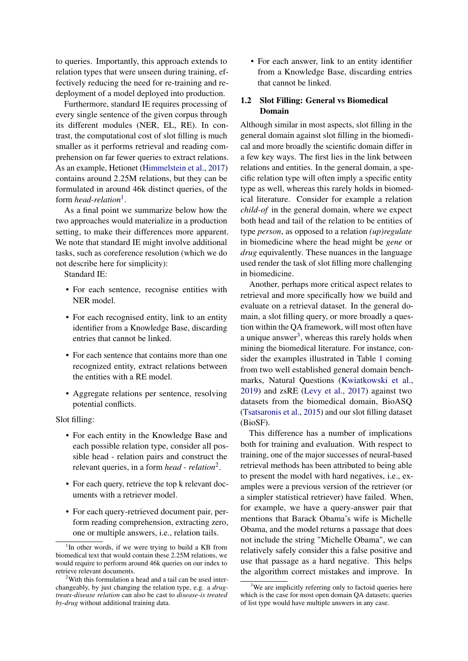to queries. Importantly, this approach extends to relation types that were unseen during training, effectively reducing the need for re-training and redeployment of a model deployed into production.

Furthermore, standard IE requires processing of every single sentence of the given corpus through its different modules (NER, EL, RE). In contrast, the computational cost of slot filling is much smaller as it performs retrieval and reading comprehension on far fewer queries to extract relations. As an example, Hetionet [\(Himmelstein et al.,](#page-7-1) [2017\)](#page-7-1) contains around 2.25M relations, but they can be formulated in around 46k distinct queries, of the form *head-relation*<sup>[1](#page-1-0)</sup>.

As a final point we summarize below how the two approaches would materialize in a production setting, to make their differences more apparent. We note that standard IE might involve additional tasks, such as coreference resolution (which we do not describe here for simplicity):

Standard IE:

- For each sentence, recognise entities with NER model
- For each recognised entity, link to an entity identifier from a Knowledge Base, discarding entries that cannot be linked.
- For each sentence that contains more than one recognized entity, extract relations between the entities with a RE model.
- Aggregate relations per sentence, resolving potential conflicts.

Slot filling:

- For each entity in the Knowledge Base and each possible relation type, consider all possible head - relation pairs and construct the relevant queries, in a form *head - relation*[2](#page-1-1) .
- For each query, retrieve the top k relevant documents with a retriever model.
- For each query-retrieved document pair, perform reading comprehension, extracting zero, one or multiple answers, i.e., relation tails.

• For each answer, link to an entity identifier from a Knowledge Base, discarding entries that cannot be linked.

# <span id="page-1-3"></span>1.2 Slot Filling: General vs Biomedical Domain

Although similar in most aspects, slot filling in the general domain against slot filling in the biomedical and more broadly the scientific domain differ in a few key ways. The first lies in the link between relations and entities. In the general domain, a specific relation type will often imply a specific entity type as well, whereas this rarely holds in biomedical literature. Consider for example a relation *child-of* in the general domain, where we expect both head and tail of the relation to be entities of type *person*, as opposed to a relation *(up)regulate* in biomedicine where the head might be *gene* or *drug* equivalently. These nuances in the language used render the task of slot filling more challenging in biomedicine.

Another, perhaps more critical aspect relates to retrieval and more specifically how we build and evaluate on a retrieval dataset. In the general domain, a slot filling query, or more broadly a question within the QA framework, will most often have a unique answer<sup>[3](#page-1-2)</sup>, whereas this rarely holds when mining the biomedical literature. For instance, consider the examples illustrated in Table [1](#page-2-0) coming from two well established general domain benchmarks, Natural Questions [\(Kwiatkowski et al.,](#page-7-2) [2019\)](#page-7-2) and zsRE [\(Levy et al.,](#page-7-3) [2017\)](#page-7-3) against two datasets from the biomedical domain, BioASQ [\(Tsatsaronis et al.,](#page-8-3) [2015\)](#page-8-3) and our slot filling dataset (BioSF).

This difference has a number of implications both for training and evaluation. With respect to training, one of the major successes of neural-based retrieval methods has been attributed to being able to present the model with hard negatives, i.e., examples were a previous version of the retriever (or a simpler statistical retriever) have failed. When, for example, we have a query-answer pair that mentions that Barack Obama's wife is Michelle Obama, and the model returns a passage that does not include the string "Michelle Obama", we can relatively safely consider this a false positive and use that passage as a hard negative. This helps the algorithm correct mistakes and improve. In

<span id="page-1-0"></span><sup>&</sup>lt;sup>1</sup>In other words, if we were trying to build a KB from biomedical text that would contain these 2.25M relations, we would require to perform around 46k queries on our index to retrieve relevant documents.

<span id="page-1-1"></span><sup>2</sup>With this formulation a head and a tail can be used interchangeably, by just changing the relation type, e.g. a *drugtreats-disease relation* can also be cast to *disease-is treated by-drug* without additional training data.

<span id="page-1-2"></span> $3$ We are implicitly referring only to factoid queries here which is the case for most open domain QA datasets; queries of list type would have multiple answers in any case.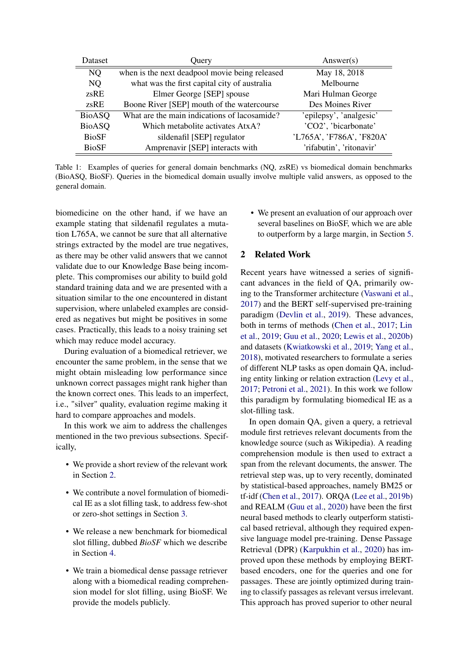<span id="page-2-0"></span>

| Dataset       | Query                                          | Answer(s)                 |
|---------------|------------------------------------------------|---------------------------|
| NQ            | when is the next deadpool movie being released | May 18, 2018              |
| NQ            | what was the first capital city of australia   | Melbourne                 |
| zsRE          | Elmer George [SEP] spouse                      | Mari Hulman George        |
| zsRE          | Boone River [SEP] mouth of the watercourse     | Des Moines River          |
| <b>BioASQ</b> | What are the main indications of lacosamide?   | 'epilepsy', 'analgesic'   |
| <b>BioASQ</b> | Which metabolite activates AtxA?               | 'CO2', 'bicarbonate'      |
| <b>BioSF</b>  | sildenafil [SEP] regulator                     | 'L765A', 'F786A', 'F820A' |
| <b>BioSF</b>  | Amprenavir [SEP] interacts with                | 'rifabutin', 'ritonavir'  |

Table 1: Examples of queries for general domain benchmarks (NQ, zsRE) vs biomedical domain benchmarks (BioASQ, BioSF). Queries in the biomedical domain usually involve multiple valid answers, as opposed to the general domain.

biomedicine on the other hand, if we have an example stating that sildenafil regulates a mutation L765A, we cannot be sure that all alternative strings extracted by the model are true negatives, as there may be other valid answers that we cannot validate due to our Knowledge Base being incomplete. This compromises our ability to build gold standard training data and we are presented with a situation similar to the one encountered in distant supervision, where unlabeled examples are considered as negatives but might be positives in some cases. Practically, this leads to a noisy training set which may reduce model accuracy.

During evaluation of a biomedical retriever, we encounter the same problem, in the sense that we might obtain misleading low performance since unknown correct passages might rank higher than the known correct ones. This leads to an imperfect, i.e., "silver" quality, evaluation regime making it hard to compare approaches and models.

In this work we aim to address the challenges mentioned in the two previous subsections. Specifically,

- We provide a short review of the relevant work in Section [2.](#page-2-1)
- We contribute a novel formulation of biomedical IE as a slot filling task, to address few-shot or zero-shot settings in Section [3.](#page-3-0)
- We release a new benchmark for biomedical slot filling, dubbed *BioSF* which we describe in Section [4.](#page-3-1)
- We train a biomedical dense passage retriever along with a biomedical reading comprehension model for slot filling, using BioSF. We provide the models publicly.

• We present an evaluation of our approach over several baselines on BioSF, which we are able to outperform by a large margin, in Section [5.](#page-4-0)

# <span id="page-2-1"></span>2 Related Work

Recent years have witnessed a series of significant advances in the field of QA, primarily owing to the Transformer architecture [\(Vaswani et al.,](#page-8-4) [2017\)](#page-8-4) and the BERT self-supervised pre-training paradigm [\(Devlin et al.,](#page-6-0) [2019\)](#page-6-0). These advances, both in terms of methods [\(Chen et al.,](#page-6-1) [2017;](#page-6-1) [Lin](#page-7-4) [et al.,](#page-7-4) [2019;](#page-7-4) [Guu et al.,](#page-7-5) [2020;](#page-7-5) [Lewis et al.,](#page-7-6) [2020b\)](#page-7-6) and datasets [\(Kwiatkowski et al.,](#page-7-2) [2019;](#page-7-2) [Yang et al.,](#page-8-5) [2018\)](#page-8-5), motivated researchers to formulate a series of different NLP tasks as open domain QA, including entity linking or relation extraction [\(Levy et al.,](#page-7-3) [2017;](#page-7-3) [Petroni et al.,](#page-7-7) [2021\)](#page-7-7). In this work we follow this paradigm by formulating biomedical IE as a slot-filling task.

In open domain QA, given a query, a retrieval module first retrieves relevant documents from the knowledge source (such as Wikipedia). A reading comprehension module is then used to extract a span from the relevant documents, the answer. The retrieval step was, up to very recently, dominated by statistical-based approaches, namely BM25 or tf-idf [\(Chen et al.,](#page-6-1) [2017\)](#page-6-1). ORQA [\(Lee et al.,](#page-7-8) [2019b\)](#page-7-8) and REALM [\(Guu et al.,](#page-7-5) [2020\)](#page-7-5) have been the first neural based methods to clearly outperform statistical based retrieval, although they required expensive language model pre-training. Dense Passage Retrieval (DPR) [\(Karpukhin et al.,](#page-7-9) [2020\)](#page-7-9) has improved upon these methods by employing BERTbased encoders, one for the queries and one for passages. These are jointly optimized during training to classify passages as relevant versus irrelevant. This approach has proved superior to other neural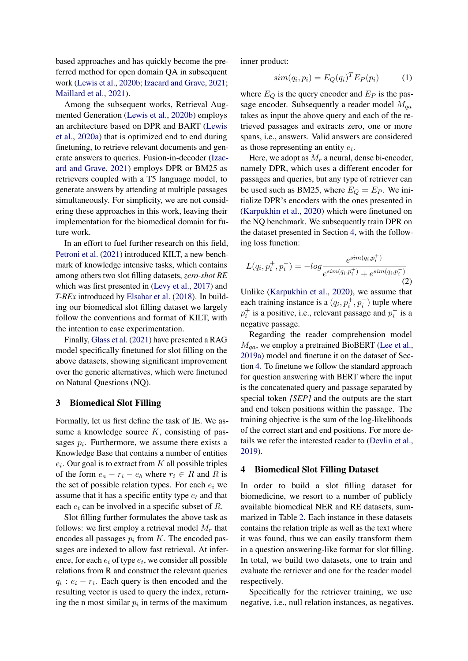based approaches and has quickly become the preferred method for open domain QA in subsequent work [\(Lewis et al.,](#page-7-6) [2020b;](#page-7-6) [Izacard and Grave,](#page-7-10) [2021;](#page-7-10) [Maillard et al.,](#page-7-11) [2021\)](#page-7-11).

Among the subsequent works, Retrieval Augmented Generation [\(Lewis et al.,](#page-7-6) [2020b\)](#page-7-6) employs an architecture based on DPR and BART [\(Lewis](#page-7-12) [et al.,](#page-7-12) [2020a\)](#page-7-12) that is optimized end to end during finetuning, to retrieve relevant documents and generate answers to queries. Fusion-in-decoder [\(Izac](#page-7-10)[ard and Grave,](#page-7-10) [2021\)](#page-7-10) employs DPR or BM25 as retrievers coupled with a T5 language model, to generate answers by attending at multiple passages simultaneously. For simplicity, we are not considering these approaches in this work, leaving their implementation for the biomedical domain for future work.

In an effort to fuel further research on this field, [Petroni et al.](#page-7-7) [\(2021\)](#page-7-7) introduced KILT, a new benchmark of knowledge intensive tasks, which contains among others two slot filling datasets, *zero-shot RE* which was first presented in [\(Levy et al.,](#page-7-3) [2017\)](#page-7-3) and *T-REx* introduced by [Elsahar et al.](#page-6-2) [\(2018\)](#page-6-2). In building our biomedical slot filling dataset we largely follow the conventions and format of KILT, with the intention to ease experimentation.

Finally, [Glass et al.](#page-7-13) [\(2021\)](#page-7-13) have presented a RAG model specifically finetuned for slot filling on the above datasets, showing significant improvement over the generic alternatives, which were finetuned on Natural Questions (NQ).

### <span id="page-3-0"></span>3 Biomedical Slot Filling

Formally, let us first define the task of IE. We assume a knowledge source  $K$ , consisting of passages  $p_i$ . Furthermore, we assume there exists a Knowledge Base that contains a number of entities  $e_i$ . Our goal is to extract from  $K$  all possible triples of the form  $e_a - r_i - e_b$  where  $r_i \in R$  and R is the set of possible relation types. For each  $e_i$  we assume that it has a specific entity type  $e_t$  and that each  $e_t$  can be involved in a specific subset of R.

Slot filling further formulates the above task as follows: we first employ a retrieval model  $M_r$  that encodes all passages  $p_i$  from K. The encoded passages are indexed to allow fast retrieval. At inference, for each  $e_i$  of type  $e_t$ , we consider all possible relations from R and construct the relevant queries  $q_i : e_i - r_i$ . Each query is then encoded and the resulting vector is used to query the index, returning the n most similar  $p_i$  in terms of the maximum

inner product:

$$
sim(q_i, p_i) = E_Q(q_i)^T E_P(p_i)
$$
 (1)

where  $E_Q$  is the query encoder and  $E_P$  is the passage encoder. Subsequently a reader model  $M_{qa}$ takes as input the above query and each of the retrieved passages and extracts zero, one or more spans, i.e., answers. Valid answers are considered as those representing an entity  $e_i$ .

Here, we adopt as  $M_r$  a neural, dense bi-encoder, namely DPR, which uses a different encoder for passages and queries, but any type of retriever can be used such as BM25, where  $E_Q = E_P$ . We initialize DPR's encoders with the ones presented in [\(Karpukhin et al.,](#page-7-9) [2020\)](#page-7-9) which were finetuned on the NQ benchmark. We subsequently train DPR on the dataset presented in Section [4,](#page-3-1) with the following loss function:

$$
L(q_i, p_i^+, p_i^-) = -\log \frac{e^{sim(q_i, p_i^+)} }{e^{sim(q_i, p_i^+)} + e^{sim(q_i, p_i^-)} }
$$
(2)

Unlike [\(Karpukhin et al.,](#page-7-9) [2020\)](#page-7-9), we assume that each training instance is a  $(q_i, p_i^+, p_i^-)$  tuple where  $p_i^+$  is a positive, i.e., relevant passage and  $p_i^-$  is a negative passage.

Regarding the reader comprehension model  $M_{aa}$ , we employ a pretrained BioBERT [\(Lee et al.,](#page-7-14) [2019a\)](#page-7-14) model and finetune it on the dataset of Section [4.](#page-3-1) To finetune we follow the standard approach for question answering with BERT where the input is the concatenated query and passage separated by special token *[SEP]* and the outputs are the start and end token positions within the passage. The training objective is the sum of the log-likelihoods of the correct start and end positions. For more details we refer the interested reader to [\(Devlin et al.,](#page-6-0) [2019\)](#page-6-0).

### <span id="page-3-1"></span>4 Biomedical Slot Filling Dataset

In order to build a slot filling dataset for biomedicine, we resort to a number of publicly available biomedical NER and RE datasets, summarized in Table [2.](#page-4-1) Each instance in these datasets contains the relation triple as well as the text where it was found, thus we can easily transform them in a question answering-like format for slot filling. In total, we build two datasets, one to train and evaluate the retriever and one for the reader model respectively.

Specifically for the retriever training, we use negative, i.e., null relation instances, as negatives.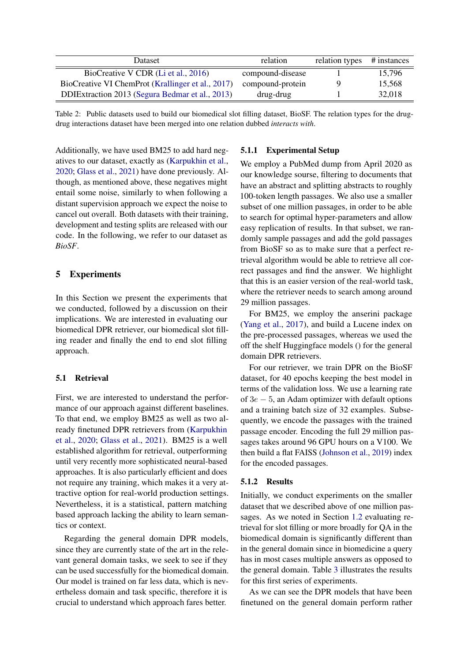<span id="page-4-1"></span>

| Dataset                                           | relation         | relation types | # instances |
|---------------------------------------------------|------------------|----------------|-------------|
| BioCreative V CDR (Li et al., 2016)               | compound-disease |                | 15,796      |
| BioCreative VI ChemProt (Krallinger et al., 2017) | compound-protein |                | 15,568      |
| DDIExtraction 2013 (Segura Bedmar et al., 2013)   | drug-drug        |                | 32,018      |

Table 2: Public datasets used to build our biomedical slot filling dataset, BioSF. The relation types for the drugdrug interactions dataset have been merged into one relation dubbed *interacts with*.

Additionally, we have used BM25 to add hard negatives to our dataset, exactly as [\(Karpukhin et al.,](#page-7-9) [2020;](#page-7-9) [Glass et al.,](#page-7-13) [2021\)](#page-7-13) have done previously. Although, as mentioned above, these negatives might entail some noise, similarly to when following a distant supervision approach we expect the noise to cancel out overall. Both datasets with their training, development and testing splits are released with our code. In the following, we refer to our dataset as *BioSF*.

## <span id="page-4-0"></span>5 Experiments

In this Section we present the experiments that we conducted, followed by a discussion on their implications. We are interested in evaluating our biomedical DPR retriever, our biomedical slot filling reader and finally the end to end slot filling approach.

### 5.1 Retrieval

First, we are interested to understand the performance of our approach against different baselines. To that end, we employ BM25 as well as two already finetuned DPR retrievers from [\(Karpukhin](#page-7-9) [et al.,](#page-7-9) [2020;](#page-7-9) [Glass et al.,](#page-7-13) [2021\)](#page-7-13). BM25 is a well established algorithm for retrieval, outperforming until very recently more sophisticated neural-based approaches. It is also particularly efficient and does not require any training, which makes it a very attractive option for real-world production settings. Nevertheless, it is a statistical, pattern matching based approach lacking the ability to learn semantics or context.

Regarding the general domain DPR models, since they are currently state of the art in the relevant general domain tasks, we seek to see if they can be used successfully for the biomedical domain. Our model is trained on far less data, which is nevertheless domain and task specific, therefore it is crucial to understand which approach fares better.

## 5.1.1 Experimental Setup

We employ a PubMed dump from April 2020 as our knowledge sourse, filtering to documents that have an abstract and splitting abstracts to roughly 100-token length passages. We also use a smaller subset of one million passages, in order to be able to search for optimal hyper-parameters and allow easy replication of results. In that subset, we randomly sample passages and add the gold passages from BioSF so as to make sure that a perfect retrieval algorithm would be able to retrieve all correct passages and find the answer. We highlight that this is an easier version of the real-world task, where the retriever needs to search among around 29 million passages.

For BM25, we employ the anserini package [\(Yang et al.,](#page-8-6) [2017\)](#page-8-6), and build a Lucene index on the pre-processed passages, whereas we used the off the shelf Huggingface models () for the general domain DPR retrievers.

For our retriever, we train DPR on the BioSF dataset, for 40 epochs keeping the best model in terms of the validation loss. We use a learning rate of 3e − 5, an Adam optimizer with default options and a training batch size of 32 examples. Subsequently, we encode the passages with the trained passage encoder. Encoding the full 29 million passages takes around 96 GPU hours on a V100. We then build a flat FAISS [\(Johnson et al.,](#page-7-18) [2019\)](#page-7-18) index for the encoded passages.

#### 5.1.2 Results

Initially, we conduct experiments on the smaller dataset that we described above of one million passages. As we noted in Section [1.2](#page-1-3) evaluating retrieval for slot filling or more broadly for QA in the biomedical domain is significantly different than in the general domain since in biomedicine a query has in most cases multiple answers as opposed to the general domain. Table [3](#page-5-0) illustrates the results for this first series of experiments.

As we can see the DPR models that have been finetuned on the general domain perform rather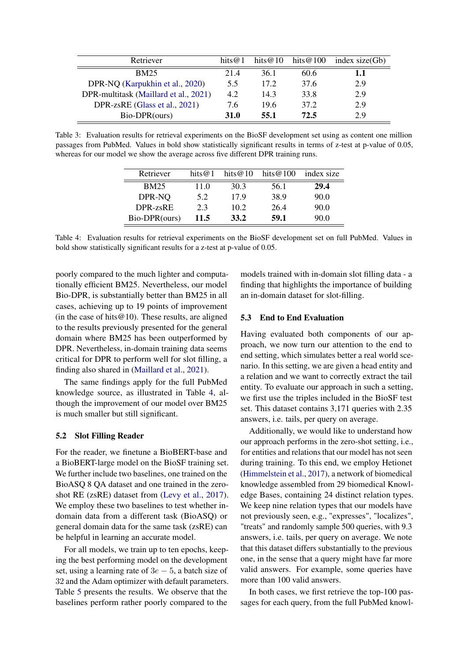<span id="page-5-0"></span>

| Retriever                             | hits $@1$   | hits@10 | hits@100 | index $size(Gb)$ |
|---------------------------------------|-------------|---------|----------|------------------|
| <b>BM25</b>                           | 214         | 36.1    | 60.6     | 1.1              |
| DPR-NQ (Karpukhin et al., 2020)       | 5.5         | 17.2    | 37.6     | 2.9              |
| DPR-multitask (Maillard et al., 2021) | 4.2         | 14.3    | 33.8     | 2.9              |
| DPR-zsRE (Glass et al., 2021)         | 7.6         | 19.6    | 37.2     | 2.9              |
| Bio-DPR(ours)                         | <b>31.0</b> | 55.1    | 72.5     | 2.9              |

<span id="page-5-1"></span>Table 3: Evaluation results for retrieval experiments on the BioSF development set using as content one million passages from PubMed. Values in bold show statistically significant results in terms of z-test at p-value of 0.05, whereas for our model we show the average across five different DPR training runs.

| Retriever     | hits $@1$ | hits $@10$ | hits @ $100$ | index size |
|---------------|-----------|------------|--------------|------------|
| <b>BM25</b>   | 11.0      | 30.3       | 56.1         | 29.4       |
| DPR-NO        | 5.2       | 17.9       | 38.9         | 90.0       |
| DPR-zsRE      | 2.3       | 10.2       | 26.4         | 90.0       |
| Bio-DPR(ours) | 11.5      | 33.2       | 59.1         | 90.0       |

Table 4: Evaluation results for retrieval experiments on the BioSF development set on full PubMed. Values in bold show statistically significant results for a z-test at p-value of 0.05.

poorly compared to the much lighter and computationally efficient BM25. Nevertheless, our model Bio-DPR, is substantially better than BM25 in all cases, achieving up to 19 points of improvement (in the case of hits  $@10$ ). These results, are aligned to the results previously presented for the general domain where BM25 has been outperformed by DPR. Nevertheless, in-domain training data seems critical for DPR to perform well for slot filling, a finding also shared in [\(Maillard et al.,](#page-7-11) [2021\)](#page-7-11).

The same findings apply for the full PubMed knowledge source, as illustrated in Table [4,](#page-5-1) although the improvement of our model over BM25 is much smaller but still significant.

#### 5.2 Slot Filling Reader

For the reader, we finetune a BioBERT-base and a BioBERT-large model on the BioSF training set. We further include two baselines, one trained on the BioASQ 8 QA dataset and one trained in the zeroshot RE (zsRE) dataset from [\(Levy et al.,](#page-7-3) [2017\)](#page-7-3). We employ these two baselines to test whether indomain data from a different task (BioASQ) or general domain data for the same task (zsRE) can be helpful in learning an accurate model.

For all models, we train up to ten epochs, keeping the best performing model on the development set, using a learning rate of  $3e - 5$ , a batch size of 32 and the Adam optimizer with default parameters. Table [5](#page-6-3) presents the results. We observe that the baselines perform rather poorly compared to the

models trained with in-domain slot filling data - a finding that highlights the importance of building an in-domain dataset for slot-filling.

### 5.3 End to End Evaluation

Having evaluated both components of our approach, we now turn our attention to the end to end setting, which simulates better a real world scenario. In this setting, we are given a head entity and a relation and we want to correctly extract the tail entity. To evaluate our approach in such a setting, we first use the triples included in the BioSF test set. This dataset contains 3,171 queries with 2.35 answers, i.e. tails, per query on average.

Additionally, we would like to understand how our approach performs in the zero-shot setting, i.e., for entities and relations that our model has not seen during training. To this end, we employ Hetionet [\(Himmelstein et al.,](#page-7-1) [2017\)](#page-7-1), a network of biomedical knowledge assembled from 29 biomedical Knowledge Bases, containing 24 distinct relation types. We keep nine relation types that our models have not previously seen, e.g., "expresses", "localizes", "treats" and randomly sample 500 queries, with 9.3 answers, i.e. tails, per query on average. We note that this dataset differs substantially to the previous one, in the sense that a query might have far more valid answers. For example, some queries have more than 100 valid answers.

In both cases, we first retrieve the top-100 passages for each query, from the full PubMed knowl-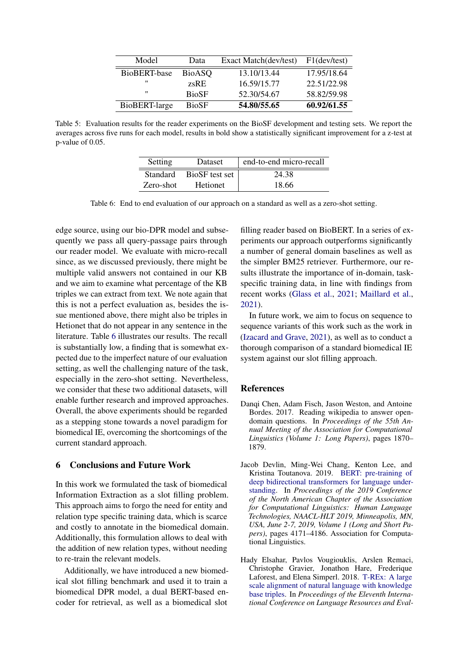<span id="page-6-3"></span>

| Model         | Data          | Exact Match(dev/test) F1(dev/test) |             |
|---------------|---------------|------------------------------------|-------------|
| BioBERT-base  | <b>BioASQ</b> | 13.10/13.44                        | 17.95/18.64 |
| "             | zsRE          | 16.59/15.77                        | 22.51/22.98 |
| "             | <b>BioSF</b>  | 52.30/54.67                        | 58.82/59.98 |
| BioBERT-large | <b>BioSF</b>  | 54.80/55.65                        | 60.92/61.55 |

<span id="page-6-4"></span>Table 5: Evaluation results for the reader experiments on the BioSF development and testing sets. We report the averages across five runs for each model, results in bold show a statistically significant improvement for a z-test at p-value of 0.05.

| Setting         | Dataset         | end-to-end micro-recall |
|-----------------|-----------------|-------------------------|
| <b>Standard</b> | BioSF test set  | 24.38                   |
| Zero-shot       | <b>Hetionet</b> | 18.66                   |

Table 6: End to end evaluation of our approach on a standard as well as a zero-shot setting.

edge source, using our bio-DPR model and subsequently we pass all query-passage pairs through our reader model. We evaluate with micro-recall since, as we discussed previously, there might be multiple valid answers not contained in our KB and we aim to examine what percentage of the KB triples we can extract from text. We note again that this is not a perfect evaluation as, besides the issue mentioned above, there might also be triples in Hetionet that do not appear in any sentence in the literature. Table [6](#page-6-4) illustrates our results. The recall is substantially low, a finding that is somewhat expected due to the imperfect nature of our evaluation setting, as well the challenging nature of the task, especially in the zero-shot setting. Nevertheless, we consider that these two additional datasets, will enable further research and improved approaches. Overall, the above experiments should be regarded as a stepping stone towards a novel paradigm for biomedical IE, overcoming the shortcomings of the current standard approach.

### 6 Conclusions and Future Work

In this work we formulated the task of biomedical Information Extraction as a slot filling problem. This approach aims to forgo the need for entity and relation type specific training data, which is scarce and costly to annotate in the biomedical domain. Additionally, this formulation allows to deal with the addition of new relation types, without needing to re-train the relevant models.

Additionally, we have introduced a new biomedical slot filling benchmark and used it to train a biomedical DPR model, a dual BERT-based encoder for retrieval, as well as a biomedical slot filling reader based on BioBERT. In a series of experiments our approach outperforms significantly a number of general domain baselines as well as the simpler BM25 retriever. Furthermore, our results illustrate the importance of in-domain, taskspecific training data, in line with findings from recent works [\(Glass et al.,](#page-7-13) [2021;](#page-7-13) [Maillard et al.,](#page-7-11) [2021\)](#page-7-11).

In future work, we aim to focus on sequence to sequence variants of this work such as the work in [\(Izacard and Grave,](#page-7-10) [2021\)](#page-7-10), as well as to conduct a thorough comparison of a standard biomedical IE system against our slot filling approach.

### References

- <span id="page-6-1"></span>Danqi Chen, Adam Fisch, Jason Weston, and Antoine Bordes. 2017. Reading wikipedia to answer opendomain questions. In *Proceedings of the 55th Annual Meeting of the Association for Computational Linguistics (Volume 1: Long Papers)*, pages 1870– 1879.
- <span id="page-6-0"></span>Jacob Devlin, Ming-Wei Chang, Kenton Lee, and Kristina Toutanova. 2019. [BERT: pre-training of](https://doi.org/10.18653/v1/n19-1423) [deep bidirectional transformers for language under](https://doi.org/10.18653/v1/n19-1423)[standing.](https://doi.org/10.18653/v1/n19-1423) In *Proceedings of the 2019 Conference of the North American Chapter of the Association for Computational Linguistics: Human Language Technologies, NAACL-HLT 2019, Minneapolis, MN, USA, June 2-7, 2019, Volume 1 (Long and Short Papers)*, pages 4171–4186. Association for Computational Linguistics.
- <span id="page-6-2"></span>Hady Elsahar, Pavlos Vougiouklis, Arslen Remaci, Christophe Gravier, Jonathon Hare, Frederique Laforest, and Elena Simperl. 2018. [T-REx: A large](https://aclanthology.org/L18-1544) [scale alignment of natural language with knowledge](https://aclanthology.org/L18-1544) [base triples.](https://aclanthology.org/L18-1544) In *Proceedings of the Eleventh International Conference on Language Resources and Eval-*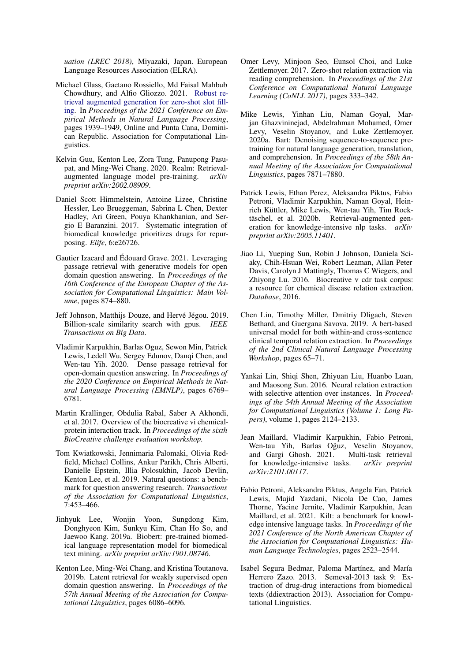*uation (LREC 2018)*, Miyazaki, Japan. European Language Resources Association (ELRA).

- <span id="page-7-13"></span>Michael Glass, Gaetano Rossiello, Md Faisal Mahbub Chowdhury, and Alfio Gliozzo. 2021. [Robust re](https://doi.org/10.18653/v1/2021.emnlp-main.148)[trieval augmented generation for zero-shot slot fill](https://doi.org/10.18653/v1/2021.emnlp-main.148)[ing.](https://doi.org/10.18653/v1/2021.emnlp-main.148) In *Proceedings of the 2021 Conference on Empirical Methods in Natural Language Processing*, pages 1939–1949, Online and Punta Cana, Dominican Republic. Association for Computational Linguistics.
- <span id="page-7-5"></span>Kelvin Guu, Kenton Lee, Zora Tung, Panupong Pasupat, and Ming-Wei Chang. 2020. Realm: Retrieval-<br>augmented language model pre-training. *arXiv* augmented language model pre-training. *preprint arXiv:2002.08909*.
- <span id="page-7-1"></span>Daniel Scott Himmelstein, Antoine Lizee, Christine Hessler, Leo Brueggeman, Sabrina L Chen, Dexter Hadley, Ari Green, Pouya Khankhanian, and Sergio E Baranzini. 2017. Systematic integration of biomedical knowledge prioritizes drugs for repurposing. *Elife*, 6:e26726.
- <span id="page-7-10"></span>Gautier Izacard and Édouard Grave. 2021. Leveraging passage retrieval with generative models for open domain question answering. In *Proceedings of the 16th Conference of the European Chapter of the Association for Computational Linguistics: Main Volume*, pages 874–880.
- <span id="page-7-18"></span>Jeff Johnson, Matthijs Douze, and Hervé Jégou. 2019. Billion-scale similarity search with gpus. *IEEE Transactions on Big Data*.
- <span id="page-7-9"></span>Vladimir Karpukhin, Barlas Oguz, Sewon Min, Patrick Lewis, Ledell Wu, Sergey Edunov, Danqi Chen, and Wen-tau Yih. 2020. Dense passage retrieval for open-domain question answering. In *Proceedings of the 2020 Conference on Empirical Methods in Natural Language Processing (EMNLP)*, pages 6769– 6781.
- <span id="page-7-16"></span>Martin Krallinger, Obdulia Rabal, Saber A Akhondi, et al. 2017. Overview of the biocreative vi chemicalprotein interaction track. In *Proceedings of the sixth BioCreative challenge evaluation workshop.*
- <span id="page-7-2"></span>Tom Kwiatkowski, Jennimaria Palomaki, Olivia Redfield, Michael Collins, Ankur Parikh, Chris Alberti, Danielle Epstein, Illia Polosukhin, Jacob Devlin, Kenton Lee, et al. 2019. Natural questions: a benchmark for question answering research. *Transactions of the Association for Computational Linguistics*, 7:453–466.
- <span id="page-7-14"></span>Jinhyuk Lee, Wonjin Yoon, Sungdong Kim, Donghyeon Kim, Sunkyu Kim, Chan Ho So, and Jaewoo Kang. 2019a. Biobert: pre-trained biomedical language representation model for biomedical text mining. *arXiv preprint arXiv:1901.08746*.
- <span id="page-7-8"></span>Kenton Lee, Ming-Wei Chang, and Kristina Toutanova. 2019b. Latent retrieval for weakly supervised open domain question answering. In *Proceedings of the 57th Annual Meeting of the Association for Computational Linguistics*, pages 6086–6096.
- <span id="page-7-3"></span>Omer Levy, Minjoon Seo, Eunsol Choi, and Luke Zettlemoyer. 2017. Zero-shot relation extraction via reading comprehension. In *Proceedings of the 21st Conference on Computational Natural Language Learning (CoNLL 2017)*, pages 333–342.
- <span id="page-7-12"></span>Mike Lewis, Yinhan Liu, Naman Goyal, Marjan Ghazvininejad, Abdelrahman Mohamed, Omer Levy, Veselin Stoyanov, and Luke Zettlemoyer. 2020a. Bart: Denoising sequence-to-sequence pretraining for natural language generation, translation, and comprehension. In *Proceedings of the 58th Annual Meeting of the Association for Computational Linguistics*, pages 7871–7880.
- <span id="page-7-6"></span>Patrick Lewis, Ethan Perez, Aleksandra Piktus, Fabio Petroni, Vladimir Karpukhin, Naman Goyal, Heinrich Küttler, Mike Lewis, Wen-tau Yih, Tim Rocktäschel, et al. 2020b. Retrieval-augmented generation for knowledge-intensive nlp tasks. *arXiv preprint arXiv:2005.11401*.
- <span id="page-7-15"></span>Jiao Li, Yueping Sun, Robin J Johnson, Daniela Sciaky, Chih-Hsuan Wei, Robert Leaman, Allan Peter Davis, Carolyn J Mattingly, Thomas C Wiegers, and Zhiyong Lu. 2016. Biocreative v cdr task corpus: a resource for chemical disease relation extraction. *Database*, 2016.
- <span id="page-7-4"></span>Chen Lin, Timothy Miller, Dmitriy Dligach, Steven Bethard, and Guergana Savova. 2019. A bert-based universal model for both within-and cross-sentence clinical temporal relation extraction. In *Proceedings of the 2nd Clinical Natural Language Processing Workshop*, pages 65–71.
- <span id="page-7-0"></span>Yankai Lin, Shiqi Shen, Zhiyuan Liu, Huanbo Luan, and Maosong Sun. 2016. Neural relation extraction with selective attention over instances. In *Proceedings of the 54th Annual Meeting of the Association for Computational Linguistics (Volume 1: Long Papers)*, volume 1, pages 2124–2133.
- <span id="page-7-11"></span>Jean Maillard, Vladimir Karpukhin, Fabio Petroni, Wen-tau Yih, Barlas Oğuz, Veselin Stoyanov, and Gargi Ghosh. 2021. Multi-task retrieval for knowledge-intensive tasks. *arXiv preprint arXiv:2101.00117*.
- <span id="page-7-7"></span>Fabio Petroni, Aleksandra Piktus, Angela Fan, Patrick Lewis, Majid Yazdani, Nicola De Cao, James Thorne, Yacine Jernite, Vladimir Karpukhin, Jean Maillard, et al. 2021. Kilt: a benchmark for knowledge intensive language tasks. In *Proceedings of the 2021 Conference of the North American Chapter of the Association for Computational Linguistics: Human Language Technologies*, pages 2523–2544.
- <span id="page-7-17"></span>Isabel Segura Bedmar, Paloma Martínez, and María Herrero Zazo. 2013. Semeval-2013 task 9: Extraction of drug-drug interactions from biomedical texts (ddiextraction 2013). Association for Computational Linguistics.